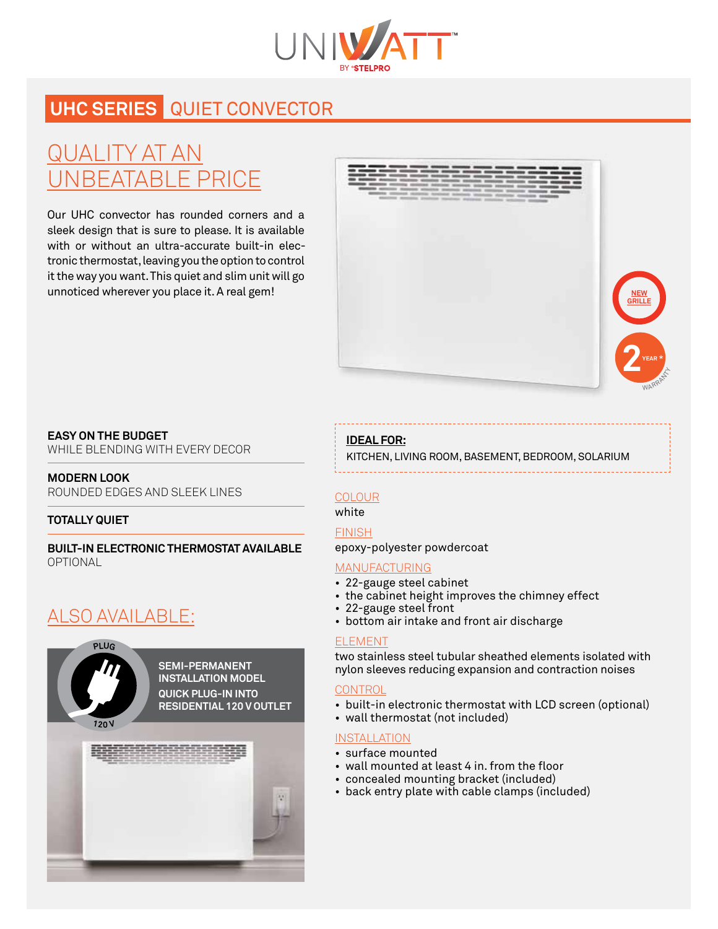

## **UHC series** quiet convector

# Quality at an *NBEATABLE PRICE*

Our UHC convector has rounded corners and a sleek design that is sure to please. It is available with or without an ultra-accurate built-in electronic thermostat, leaving you the option to control it the way you want. This quiet and slim unit will go unnoticed wherever you place it. A real gem!





WHILE BLENDING WITH EVERY DECOR

#### **MODERN LOOK**

ROUNDED EDGES AND SLEEK LINES

#### **TOTALLY QUIET**

**BUILT-IN ELECTRONIC THERMOSTAT AVAILABLE** OPTIONAL

### also available:



**SEMI-PERMANENT INSTALLATION MODEL QUICK PLUG-IN INTO RESIDENTIAL 120 V OUTLET**



#### **Ideal for:**

kitchen, living room, basement, bedroom, solarium

#### colour

white

#### **FINISH**

epoxy-polyester powdercoat

#### **MANUFACTURING**

- • 22-gauge steel cabinet
- the cabinet height improves the chimney effect
- • 22-gauge steel front
- bottom air intake and front air discharge

#### **FI EMENT**

two stainless steel tubular sheathed elements isolated with nylon sleeves reducing expansion and contraction noises

#### **CONTROL**

- built-in electronic thermostat with LCD screen (optional)
- wall thermostat (not included)

#### **INSTALLATION**

- • surface mounted
- wall mounted at least 4 in. from the floor
- • concealed mounting bracket (included)
- • back entry plate with cable clamps (included)